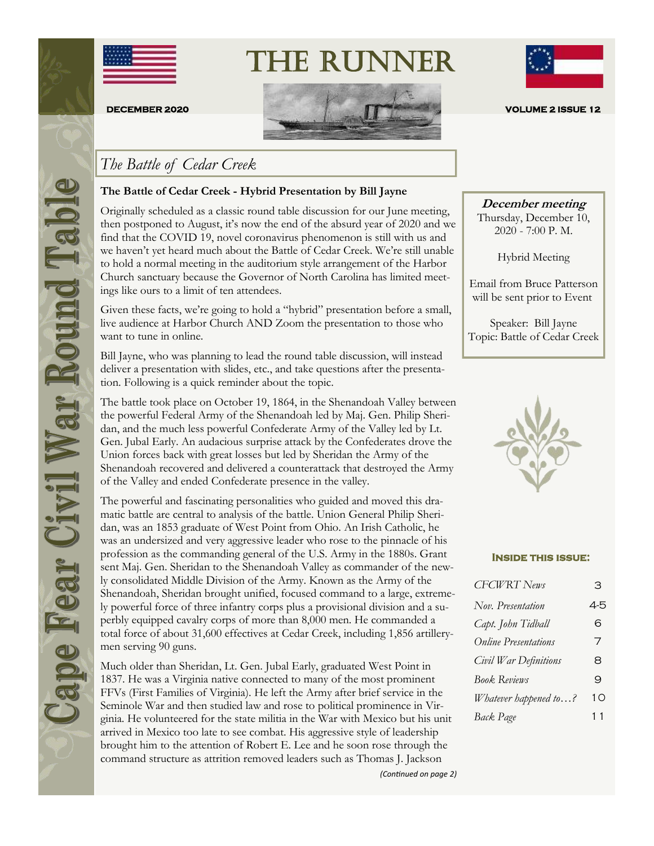

The Runner





## *The Battle of Cedar Creek*

#### **The Battle of Cedar Creek - Hybrid Presentation by Bill Jayne**

Originally scheduled as a classic round table discussion for our June meeting, then postponed to August, it's now the end of the absurd year of 2020 and we find that the COVID 19, novel coronavirus phenomenon is still with us and we haven't yet heard much about the Battle of Cedar Creek. We're still unable to hold a normal meeting in the auditorium style arrangement of the Harbor Church sanctuary because the Governor of North Carolina has limited meetings like ours to a limit of ten attendees.

Given these facts, we're going to hold a "hybrid" presentation before a small, live audience at Harbor Church AND Zoom the presentation to those who want to tune in online.

Bill Jayne, who was planning to lead the round table discussion, will instead deliver a presentation with slides, etc., and take questions after the presentation. Following is a quick reminder about the topic.

The battle took place on October 19, 1864, in the Shenandoah Valley between the powerful Federal Army of the Shenandoah led by Maj. Gen. Philip Sheridan, and the much less powerful Confederate Army of the Valley led by Lt. Gen. Jubal Early. An audacious surprise attack by the Confederates drove the Union forces back with great losses but led by Sheridan the Army of the Shenandoah recovered and delivered a counterattack that destroyed the Army of the Valley and ended Confederate presence in the valley.

The powerful and fascinating personalities who guided and moved this dramatic battle are central to analysis of the battle. Union General Philip Sheridan, was an 1853 graduate of West Point from Ohio. An Irish Catholic, he was an undersized and very aggressive leader who rose to the pinnacle of his profession as the commanding general of the U.S. Army in the 1880s. Grant sent Maj. Gen. Sheridan to the Shenandoah Valley as commander of the newly consolidated Middle Division of the Army. Known as the Army of the Shenandoah, Sheridan brought unified, focused command to a large, extremely powerful force of three infantry corps plus a provisional division and a superbly equipped cavalry corps of more than 8,000 men. He commanded a total force of about 31,600 effectives at Cedar Creek, including 1,856 artillerymen serving 90 guns.

Much older than Sheridan, Lt. Gen. Jubal Early, graduated West Point in 1837. He was a Virginia native connected to many of the most prominent FFVs (First Families of Virginia). He left the Army after brief service in the Seminole War and then studied law and rose to political prominence in Virginia. He volunteered for the state militia in the War with Mexico but his unit arrived in Mexico too late to see combat. His aggressive style of leadership brought him to the attention of Robert E. Lee and he soon rose through the command structure as attrition removed leaders such as Thomas J. Jackson

**December meeting** Thursday, December 10, 2020 - 7:00 P. M.

Hybrid Meeting

Email from Bruce Patterson will be sent prior to Event

Speaker: Bill Jayne Topic: Battle of Cedar Creek



#### **Inside this issue:**

| <b>CFCWRT</b> News          | З              |
|-----------------------------|----------------|
| Nov. Presentation           | 4-5            |
| Capt. John Tidball          | 6              |
| <b>Online Presentations</b> | 7              |
| Civil War Definitions       | 8              |
| Book Reviews                | 9              |
| Whatever happened to?       | 1 <sub>O</sub> |
| Back Page                   | 11             |

*(Continued on page 2)*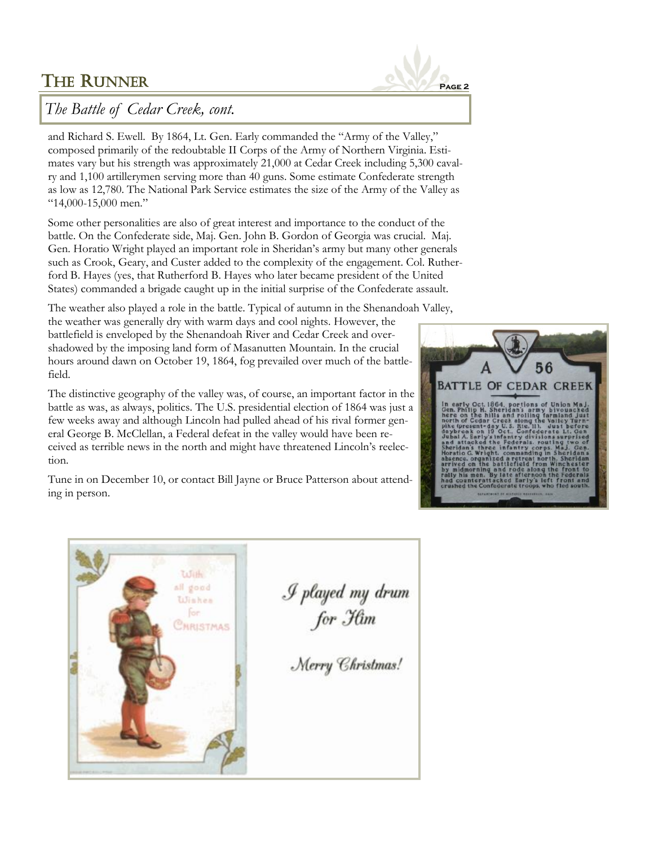

## *The Battle of Cedar Creek, cont.*

and Richard S. Ewell. By 1864, Lt. Gen. Early commanded the "Army of the Valley," composed primarily of the redoubtable II Corps of the Army of Northern Virginia. Estimates vary but his strength was approximately 21,000 at Cedar Creek including 5,300 cavalry and 1,100 artillerymen serving more than 40 guns. Some estimate Confederate strength as low as 12,780. The National Park Service estimates the size of the Army of the Valley as "14,000-15,000 men."

Some other personalities are also of great interest and importance to the conduct of the battle. On the Confederate side, Maj. Gen. John B. Gordon of Georgia was crucial. Maj. Gen. Horatio Wright played an important role in Sheridan's army but many other generals such as Crook, Geary, and Custer added to the complexity of the engagement. Col. Rutherford B. Hayes (yes, that Rutherford B. Hayes who later became president of the United States) commanded a brigade caught up in the initial surprise of the Confederate assault.

The weather also played a role in the battle. Typical of autumn in the Shenandoah Valley,

the weather was generally dry with warm days and cool nights. However, the battlefield is enveloped by the Shenandoah River and Cedar Creek and overshadowed by the imposing land form of Masanutten Mountain. In the crucial hours around dawn on October 19, 1864, fog prevailed over much of the battlefield.

The distinctive geography of the valley was, of course, an important factor in the battle as was, as always, politics. The U.S. presidential election of 1864 was just a few weeks away and although Lincoln had pulled ahead of his rival former general George B. McClellan, a Federal defeat in the valley would have been received as terrible news in the north and might have threatened Lincoln's reelection.

Tune in on December 10, or contact Bill Jayne or Bruce Patterson about attending in person.





I played my drum<br>for Him

Merry Christmas!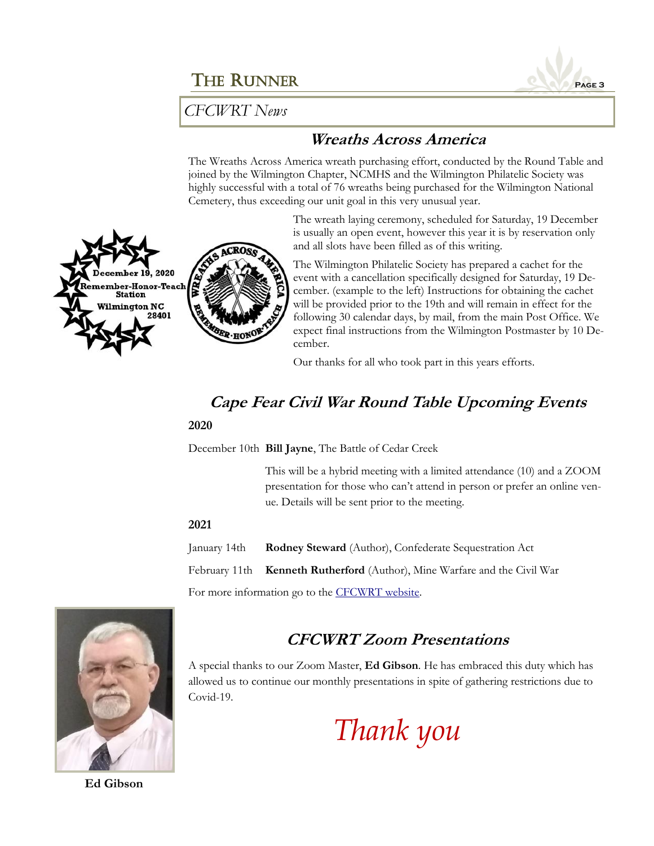

## *CFCWRT News*

# **Wreaths Across America**

The Wreaths Across America wreath purchasing effort, conducted by the Round Table and joined by the Wilmington Chapter, NCMHS and the Wilmington Philatelic Society was highly successful with a total of 76 wreaths being purchased for the Wilmington National Cemetery, thus exceeding our unit goal in this very unusual year.



The wreath laying ceremony, scheduled for Saturday, 19 December is usually an open event, however this year it is by reservation only and all slots have been filled as of this writing.

The Wilmington Philatelic Society has prepared a cachet for the event with a cancellation specifically designed for Saturday, 19 December. (example to the left) Instructions for obtaining the cachet will be provided prior to the 19th and will remain in effect for the following 30 calendar days, by mail, from the main Post Office. We expect final instructions from the Wilmington Postmaster by 10 December.

Our thanks for all who took part in this years efforts.

## **Cape Fear Civil War Round Table Upcoming Events**

### **2020**

December 10th **Bill Jayne**, The Battle of Cedar Creek

This will be a hybrid meeting with a limited attendance (10) and a ZOOM presentation for those who can't attend in person or prefer an online venue. Details will be sent prior to the meeting.

### **2021**

January 14th **Rodney Steward** (Author), Confederate Sequestration Act

February 11th **Kenneth Rutherford** (Author), Mine Warfare and the Civil War

For more information go to the [CFCWRT website.](http://cfcwrt.org/)



# **CFCWRT Zoom Presentations**

A special thanks to our Zoom Master, **Ed Gibson**. He has embraced this duty which has allowed us to continue our monthly presentations in spite of gathering restrictions due to Covid-19.

*Thank you*

**Ed Gibson**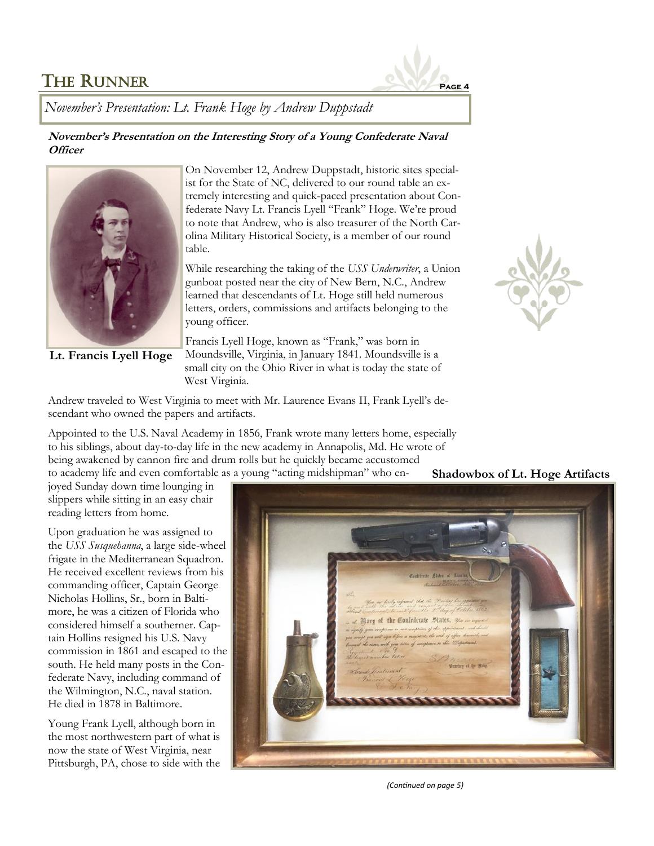

*November's Presentation: Lt. Frank Hoge by Andrew Duppstadt*

## **November's Presentation on the Interesting Story of a Young Confederate Naval Officer**



**Lt. Francis Lyell Hoge**

On November 12, Andrew Duppstadt, historic sites specialist for the State of NC, delivered to our round table an extremely interesting and quick-paced presentation about Confederate Navy Lt. Francis Lyell "Frank" Hoge. We're proud to note that Andrew, who is also treasurer of the North Carolina Military Historical Society, is a member of our round table.

While researching the taking of the *USS Underwriter*, a Union gunboat posted near the city of New Bern, N.C., Andrew learned that descendants of Lt. Hoge still held numerous letters, orders, commissions and artifacts belonging to the young officer.

Francis Lyell Hoge, known as "Frank," was born in Moundsville, Virginia, in January 1841. Moundsville is a small city on the Ohio River in what is today the state of West Virginia.

Andrew traveled to West Virginia to meet with Mr. Laurence Evans II, Frank Lyell's descendant who owned the papers and artifacts.

Appointed to the U.S. Naval Academy in 1856, Frank wrote many letters home, especially to his siblings, about day-to-day life in the new academy in Annapolis, Md. He wrote of being awakened by cannon fire and drum rolls but he quickly became accustomed to academy life and even comfortable as a young "acting midshipman" who en-

joyed Sunday down time lounging in slippers while sitting in an easy chair reading letters from home.

Upon graduation he was assigned to the *USS Susquehanna*, a large side-wheel frigate in the Mediterranean Squadron. He received excellent reviews from his commanding officer, Captain George Nicholas Hollins, Sr., born in Baltimore, he was a citizen of Florida who considered himself a southerner. Captain Hollins resigned his U.S. Navy commission in 1861 and escaped to the south. He held many posts in the Confederate Navy, including command of the Wilmington, N.C., naval station. He died in 1878 in Baltimore.

Young Frank Lyell, although born in the most northwestern part of what is now the state of West Virginia, near Pittsburgh, PA, chose to side with the



**Shadowbox of Lt. Hoge Artifacts**

*(Continued on page 5)*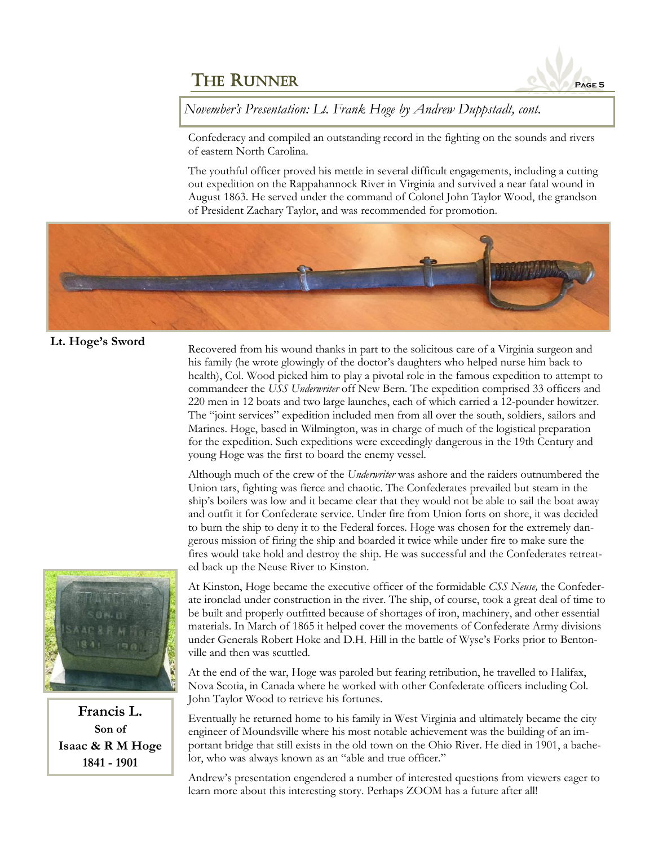

*November's Presentation: Lt. Frank Hoge by Andrew Duppstadt, cont.*

Confederacy and compiled an outstanding record in the fighting on the sounds and rivers of eastern North Carolina.

The youthful officer proved his mettle in several difficult engagements, including a cutting out expedition on the Rappahannock River in Virginia and survived a near fatal wound in August 1863. He served under the command of Colonel John Taylor Wood, the grandson of President Zachary Taylor, and was recommended for promotion.



#### **Lt. Hoge's Sword**

Recovered from his wound thanks in part to the solicitous care of a Virginia surgeon and his family (he wrote glowingly of the doctor's daughters who helped nurse him back to health), Col. Wood picked him to play a pivotal role in the famous expedition to attempt to commandeer the *USS Underwriter* off New Bern. The expedition comprised 33 officers and 220 men in 12 boats and two large launches, each of which carried a 12-pounder howitzer. The "joint services" expedition included men from all over the south, soldiers, sailors and Marines. Hoge, based in Wilmington, was in charge of much of the logistical preparation for the expedition. Such expeditions were exceedingly dangerous in the 19th Century and young Hoge was the first to board the enemy vessel.

Although much of the crew of the *Underwriter* was ashore and the raiders outnumbered the Union tars, fighting was fierce and chaotic. The Confederates prevailed but steam in the ship's boilers was low and it became clear that they would not be able to sail the boat away and outfit it for Confederate service. Under fire from Union forts on shore, it was decided to burn the ship to deny it to the Federal forces. Hoge was chosen for the extremely dangerous mission of firing the ship and boarded it twice while under fire to make sure the fires would take hold and destroy the ship. He was successful and the Confederates retreated back up the Neuse River to Kinston.



**Francis L. Son of Isaac & R M Hoge 1841 - 1901**

At Kinston, Hoge became the executive officer of the formidable *CSS Neuse,* the Confederate ironclad under construction in the river. The ship, of course, took a great deal of time to be built and properly outfitted because of shortages of iron, machinery, and other essential materials. In March of 1865 it helped cover the movements of Confederate Army divisions under Generals Robert Hoke and D.H. Hill in the battle of Wyse's Forks prior to Bentonville and then was scuttled.

At the end of the war, Hoge was paroled but fearing retribution, he travelled to Halifax, Nova Scotia, in Canada where he worked with other Confederate officers including Col. John Taylor Wood to retrieve his fortunes.

Eventually he returned home to his family in West Virginia and ultimately became the city engineer of Moundsville where his most notable achievement was the building of an important bridge that still exists in the old town on the Ohio River. He died in 1901, a bachelor, who was always known as an "able and true officer."

Andrew's presentation engendered a number of interested questions from viewers eager to learn more about this interesting story. Perhaps ZOOM has a future after all!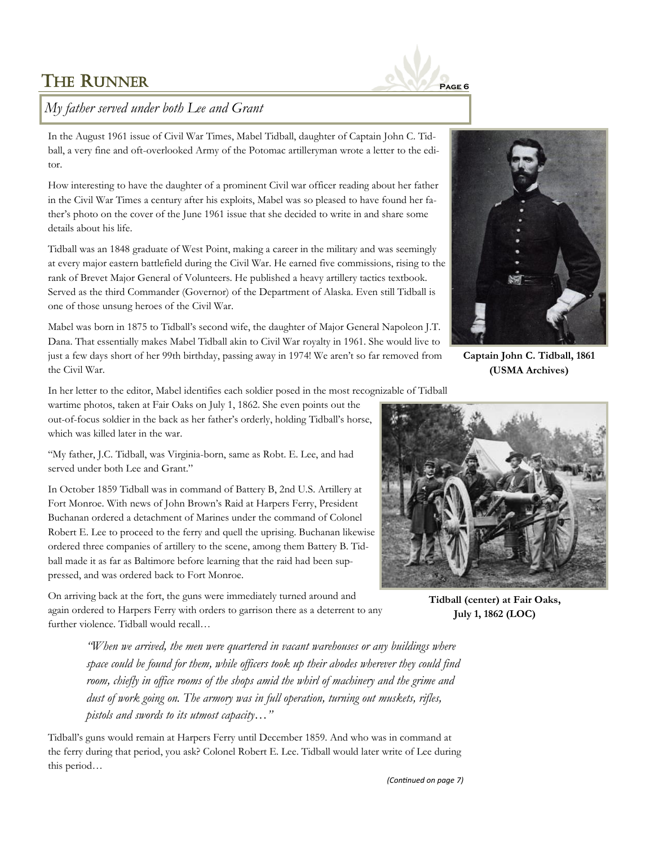

## *My father served under both Lee and Grant*

In the August 1961 issue of Civil War Times, Mabel Tidball, daughter of Captain John C. Tidball, a very fine and oft-overlooked Army of the Potomac artilleryman wrote a letter to the editor.

How interesting to have the daughter of a prominent Civil war officer reading about her father in the Civil War Times a century after his exploits, Mabel was so pleased to have found her father's photo on the cover of the June 1961 issue that she decided to write in and share some details about his life.

Tidball was an 1848 graduate of West Point, making a career in the military and was seemingly at every major eastern battlefield during the Civil War. He earned five commissions, rising to the rank of Brevet Major General of Volunteers. He published a heavy artillery tactics textbook. Served as the third Commander (Governor) of the Department of Alaska. Even still Tidball is one of those unsung heroes of the Civil War.

Mabel was born in 1875 to Tidball's second wife, the daughter of Major General Napoleon J.T. Dana. That essentially makes Mabel Tidball akin to Civil War royalty in 1961. She would live to just a few days short of her 99th birthday, passing away in 1974! We aren't so far removed from the Civil War.



**Captain John C. Tidball, 1861 (USMA Archives)**

In her letter to the editor, Mabel identifies each soldier posed in the most recognizable of Tidball

wartime photos, taken at Fair Oaks on July 1, 1862. She even points out the out-of-focus soldier in the back as her father's orderly, holding Tidball's horse, which was killed later in the war.

"My father, J.C. Tidball, was Virginia-born, same as Robt. E. Lee, and had served under both Lee and Grant."

In October 1859 Tidball was in command of Battery B, 2nd U.S. Artillery at Fort Monroe. With news of John Brown's Raid at Harpers Ferry, President Buchanan ordered a detachment of Marines under the command of Colonel Robert E. Lee to proceed to the ferry and quell the uprising. Buchanan likewise ordered three companies of artillery to the scene, among them Battery B. Tidball made it as far as Baltimore before learning that the raid had been suppressed, and was ordered back to Fort Monroe.

On arriving back at the fort, the guns were immediately turned around and again ordered to Harpers Ferry with orders to garrison there as a deterrent to any further violence. Tidball would recall…

> *"When we arrived, the men were quartered in vacant warehouses or any buildings where space could be found for them, while officers took up their abodes wherever they could find*  room, chiefly in office rooms of the shops amid the whirl of machinery and the grime and *dust of work going on. The armory was in full operation, turning out muskets, rifles, pistols and swords to its utmost capacity…"*

Tidball's guns would remain at Harpers Ferry until December 1859. And who was in command at the ferry during that period, you ask? Colonel Robert E. Lee. Tidball would later write of Lee during this period…



**Tidball (center) at Fair Oaks, July 1, 1862 (LOC)**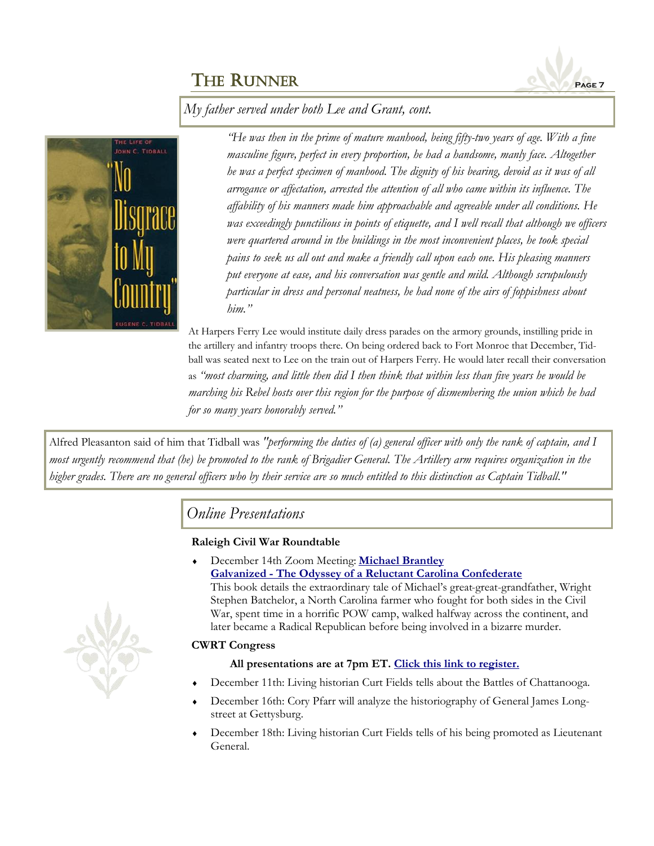

*My father served under both Lee and Grant, cont.*



*"He was then in the prime of mature manhood, being fifty-two years of age. With a fine masculine figure, perfect in every proportion, he had a handsome, manly face. Altogether he was a perfect specimen of manhood. The dignity of his bearing, devoid as it was of all arrogance or affectation, arrested the attention of all who came within its influence. The affability of his manners made him approachable and agreeable under all conditions. He was exceedingly punctilious in points of etiquette, and I well recall that although we officers were quartered around in the buildings in the most inconvenient places, he took special pains to seek us all out and make a friendly call upon each one. His pleasing manners put everyone at ease, and his conversation was gentle and mild. Although scrupulously particular in dress and personal neatness, he had none of the airs of foppishness about him."*

At Harpers Ferry Lee would institute daily dress parades on the armory grounds, instilling pride in the artillery and infantry troops there. On being ordered back to Fort Monroe that December, Tidball was seated next to Lee on the train out of Harpers Ferry. He would later recall their conversation as *"most charming, and little then did I then think that within less than five years he would be marching his Rebel hosts over this region for the purpose of dismembering the union which he had for so many years honorably served."*

Alfred Pleasanton said of him that Tidball was *"performing the duties of (a) general officer with only the rank of captain, and I most urgently recommend that (he) be promoted to the rank of Brigadier General. The Artillery arm requires organization in the higher grades. There are no general officers who by their service are so much entitled to this distinction as Captain Tidball."* 

# *Online Presentations*

## **Raleigh Civil War Roundtable**

December 14th Zoom Meeting: **[Michael Brantley](https://us02web.zoom.us/j/81704642467?pwd=MmpXemw2QkFYOW1mNjNZcStKTnlHdz09)** 

**Galvanized - [The Odyssey of a Reluctant Carolina Confederate](https://us02web.zoom.us/j/81704642467?pwd=MmpXemw2QkFYOW1mNjNZcStKTnlHdz09)** This book details the extraordinary tale of Michael's great-great-grandfather, Wright Stephen Batchelor, a North Carolina farmer who fought for both sides in the Civil War, spent time in a horrific POW camp, walked halfway across the continent, and

later became a Radical Republican before being involved in a bizarre murder.

## **CWRT Congress**

## **All presentations are at 7pm ET. [Click this link to register.](https://www.cwrtcongress.org/speaker.html)**

- December 11th: Living historian Curt Fields tells about the Battles of Chattanooga.
- December 16th: Cory Pfarr will analyze the historiography of General James Longstreet at Gettysburg.
- December 18th: Living historian Curt Fields tells of his being promoted as Lieutenant General.

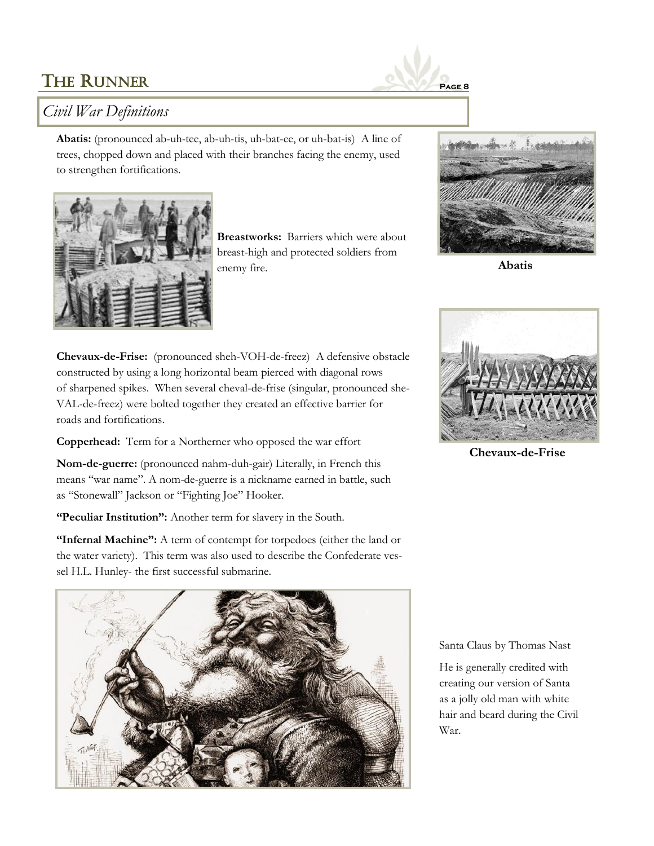

**Abatis:** (pronounced ab-uh-tee, ab-uh-tis, uh-bat-ee, or uh-bat-is) A line of trees, chopped down and placed with their branches facing the enemy, used to strengthen fortifications.



**Breastworks:** Barriers which were about breast-high and protected soldiers from enemy fire.



**Abatis**

**Chevaux-de-Frise:** (pronounced sheh-VOH-de-freez) A defensive obstacle constructed by using a long horizontal beam pierced with diagonal rows of sharpened spikes. When several cheval-de-frise (singular, pronounced she-VAL-de-freez) were bolted together they created an effective barrier for roads and fortifications.

**Copperhead:** Term for a Northerner who opposed the war effort

**Nom-de-guerre:** (pronounced nahm-duh-gair) Literally, in French this means "war name". A nom-de-guerre is a nickname earned in battle, such as "Stonewall" Jackson or "Fighting Joe" Hooker.

**"Peculiar Institution":** Another term for slavery in the South.

**"Infernal Machine":** A term of contempt for torpedoes (either the land or the water variety). This term was also used to describe the Confederate vessel H.L. Hunley- the first successful submarine.



**Chevaux-de-Frise**

Santa Claus by Thomas Nast

He is generally credited with creating our version of Santa as a jolly old man with white hair and beard during the Civil War.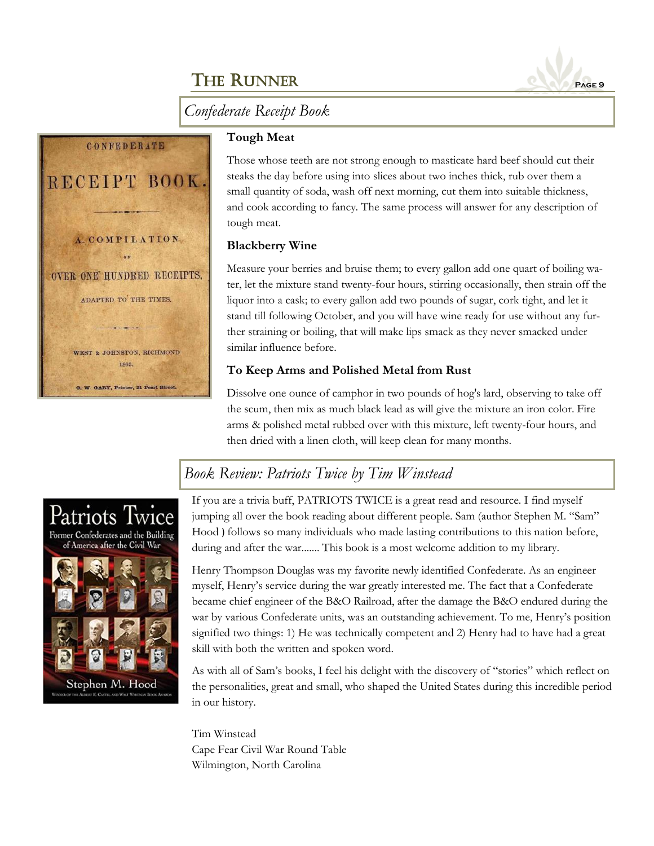*Confederate Receipt Book*



## **Tough Meat**

Those whose teeth are not strong enough to masticate hard beef should cut their steaks the day before using into slices about two inches thick, rub over them a small quantity of soda, wash off next morning, cut them into suitable thickness, and cook according to fancy. The same process will answer for any description of tough meat.

## **Blackberry Wine**

Measure your berries and bruise them; to every gallon add one quart of boiling water, let the mixture stand twenty-four hours, stirring occasionally, then strain off the liquor into a cask; to every gallon add two pounds of sugar, cork tight, and let it stand till following October, and you will have wine ready for use without any further straining or boiling, that will make lips smack as they never smacked under similar influence before.

## **To Keep Arms and Polished Metal from Rust**

Dissolve one ounce of camphor in two pounds of hog's lard, observing to take off the scum, then mix as much black lead as will give the mixture an iron color. Fire arms & polished metal rubbed over with this mixture, left twenty-four hours, and then dried with a linen cloth, will keep clean for many months.

# *Book Review: Patriots Twice by Tim Winstead*



If you are a trivia buff, PATRIOTS TWICE is a great read and resource. I find myself jumping all over the book reading about different people. Sam (author Stephen M. "Sam" Hood ) follows so many individuals who made lasting contributions to this nation before, during and after the war....... This book is a most welcome addition to my library.

Henry Thompson Douglas was my favorite newly identified Confederate. As an engineer myself, Henry's service during the war greatly interested me. The fact that a Confederate became chief engineer of the B&O Railroad, after the damage the B&O endured during the war by various Confederate units, was an outstanding achievement. To me, Henry's position signified two things: 1) He was technically competent and 2) Henry had to have had a great skill with both the written and spoken word.

As with all of Sam's books, I feel his delight with the discovery of "stories" which reflect on the personalities, great and small, who shaped the United States during this incredible period in our history.

Tim Winstead Cape Fear Civil War Round Table Wilmington, North Carolina

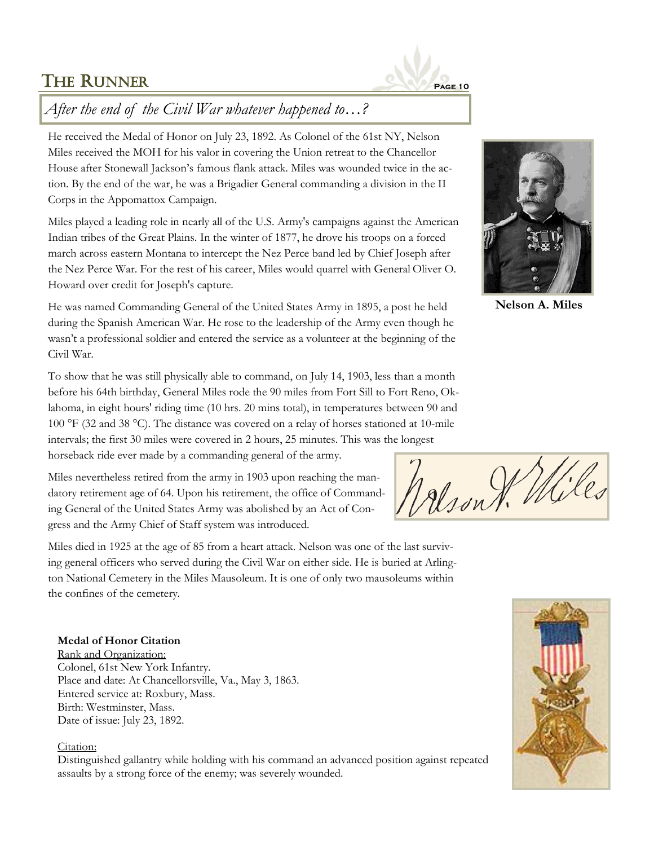

# *After the end of the Civil War whatever happened to…?*

He received the Medal of Honor on July 23, 1892. As Colonel of the 61st NY, Nelson Miles received the MOH for his valor in covering the Union retreat to the Chancellor House after Stonewall Jackson's famous flank attack. Miles was wounded twice in the action. By the end of the war, he was a Brigadier General commanding a division in the II Corps in the Appomattox Campaign.

Miles played a leading role in nearly all of the U.S. Army's campaigns against the American Indian tribes of the Great Plains. In the winter of 1877, he drove his troops on a forced march across eastern Montana to intercept the Nez Perce band led by Chief Joseph after the Nez Perce War. For the rest of his career, Miles would quarrel with General Oliver O. Howard over credit for Joseph's capture.

He was named Commanding General of the United States Army in 1895, a post he held during the Spanish American War. He rose to the leadership of the Army even though he wasn't a professional soldier and entered the service as a volunteer at the beginning of the Civil War.

To show that he was still physically able to command, on July 14, 1903, less than a month before his 64th birthday, General Miles rode the 90 miles from Fort Sill to Fort Reno, Oklahoma, in eight hours' riding time (10 hrs. 20 mins total), in temperatures between 90 and 100 °F (32 and 38 °C). The distance was covered on a relay of horses stationed at 10-mile intervals; the first 30 miles were covered in 2 hours, 25 minutes. This was the longest horseback ride ever made by a commanding general of the army.

Miles nevertheless retired from the army in 1903 upon reaching the mandatory retirement age of 64. Upon his retirement, the office of Commanding General of the United States Army was abolished by an Act of Congress and the Army Chief of Staff system was introduced.

Miles died in 1925 at the age of 85 from a heart attack. Nelson was one of the last surviving general officers who served during the Civil War on either side. He is buried at Arlington National Cemetery in the Miles Mausoleum. It is one of only two mausoleums within the confines of the cemetery.

### **Medal of Honor Citation**

Rank and Organization: Colonel, 61st New York Infantry. Place and date: At Chancellorsville, Va., May 3, 1863. Entered service at: Roxbury, Mass. Birth: Westminster, Mass. Date of issue: July 23, 1892.

#### Citation:

Distinguished gallantry while holding with his command an advanced position against repeated assaults by a strong force of the enemy; was severely wounded.



**Nelson A. Miles**

Jolson Willis